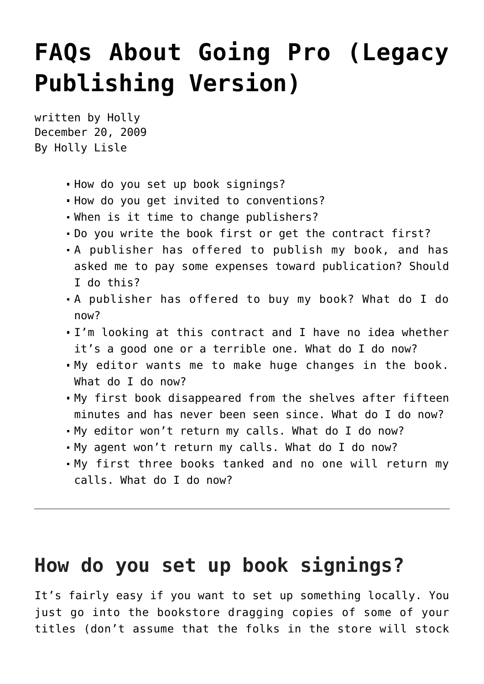# **[FAQs About Going Pro \(Legacy](https://hollylisle.com/questions-about-going-pro/) [Publishing Version\)](https://hollylisle.com/questions-about-going-pro/)**

written by Holly December 20, 2009 [By Holly Lisle](https://hollylisle.com)

- [How do you set up book signings?](#page-0-0)
- [How do you get invited to conventions?](#page-1-0)
- [When is it time to change publishers?](#page-2-0)
- [Do you write the book first or get the contract first?](#page-2-1)
- [A publisher has offered to publish my book, and has](#page-3-0) [asked me to pay some expenses toward publication? Should](#page-3-0) [I do this?](#page-3-0)
- [A publisher has offered to buy my book? What do I do](#page-4-0) [now?](#page-4-0)
- [I'm looking at this contract and I have no idea whether](#page-4-1) [it's a good one or a terrible one. What do I do now?](#page-4-1)
- [My editor wants me to make huge changes in the book.](#page-5-0) [What do I do now?](#page-5-0)
- [My first book disappeared from the shelves after fifteen](#page-6-0) [minutes and has never been seen since. What do I do now?](#page-6-0)
- [My editor won't return my calls. What do I do now?](#page-6-1)
- [My agent won't return my calls. What do I do now?](#page-7-0)
- [My first three books tanked and no one will return my](#page-8-0) [calls. What do I do now?](#page-8-0)

#### <span id="page-0-0"></span>**How do you set up book signings?**

It's fairly easy if you want to set up something locally. You just go into the bookstore dragging copies of some of your titles (don't assume that the folks in the store will stock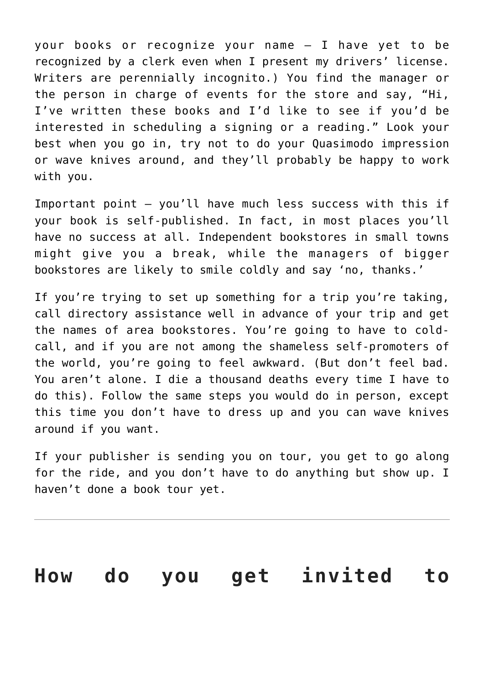your books or recognize your name — I have yet to be recognized by a clerk even when I present my drivers' license. Writers are perennially incognito.) You find the manager or the person in charge of events for the store and say, "Hi, I've written these books and I'd like to see if you'd be interested in scheduling a signing or a reading." Look your best when you go in, try not to do your Quasimodo impression or wave knives around, and they'll probably be happy to work with you.

Important point — you'll have much less success with this if your book is self-published. In fact, in most places you'll have no success at all. Independent bookstores in small towns might give you a break, while the managers of bigger bookstores are likely to smile coldly and say 'no, thanks.'

If you're trying to set up something for a trip you're taking, call directory assistance well in advance of your trip and get the names of area bookstores. You're going to have to coldcall, and if you are not among the shameless self-promoters of the world, you're going to feel awkward. (But don't feel bad. You aren't alone. I die a thousand deaths every time I have to do this). Follow the same steps you would do in person, except this time you don't have to dress up and you can wave knives around if you want.

If your publisher is sending you on tour, you get to go along for the ride, and you don't have to do anything but show up. I haven't done a book tour yet.

#### <span id="page-1-0"></span>**How do you get invited to**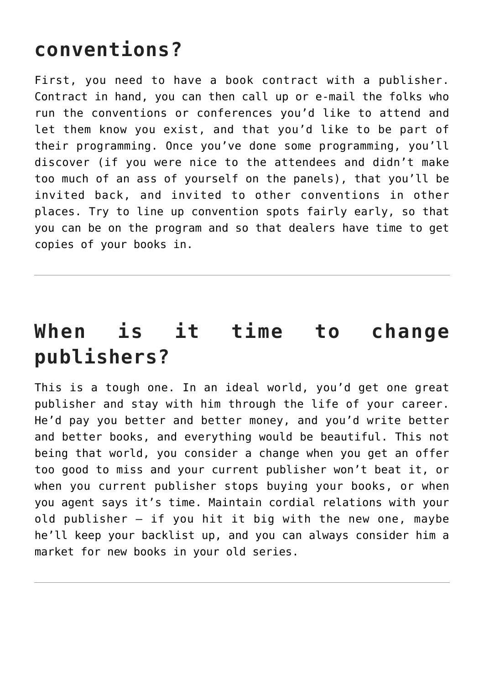#### **conventions?**

First, you need to have a book contract with a publisher. Contract in hand, you can then call up or e-mail the folks who run the conventions or conferences you'd like to attend and let them know you exist, and that you'd like to be part of their programming. Once you've done some programming, you'll discover (if you were nice to the attendees and didn't make too much of an ass of yourself on the panels), that you'll be invited back, and invited to other conventions in other places. Try to line up convention spots fairly early, so that you can be on the program and so that dealers have time to get copies of your books in.

### <span id="page-2-0"></span>**When is it time to change publishers?**

<span id="page-2-1"></span>This is a tough one. In an ideal world, you'd get one great publisher and stay with him through the life of your career. He'd pay you better and better money, and you'd write better and better books, and everything would be beautiful. This not being that world, you consider a change when you get an offer too good to miss and your current publisher won't beat it, or when you current publisher stops buying your books, or when you agent says it's time. Maintain cordial relations with your old publisher — if you hit it big with the new one, maybe he'll keep your backlist up, and you can always consider him a market for new books in your old series.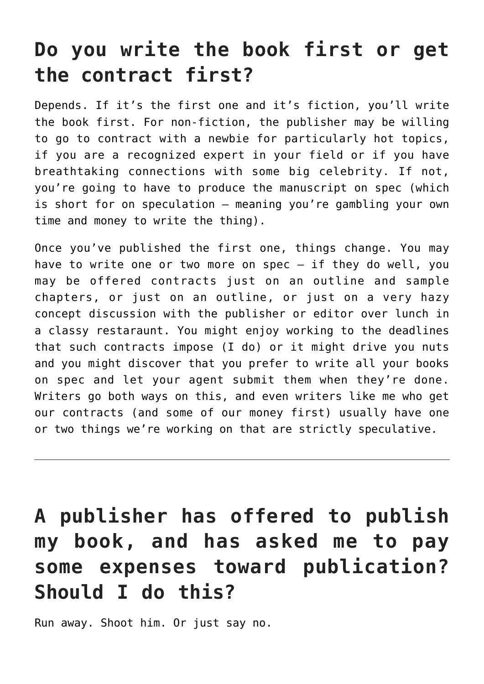# **Do you write the book first or get the contract first?**

Depends. If it's the first one and it's fiction, you'll write the book first. For non-fiction, the publisher may be willing to go to contract with a newbie for particularly hot topics, if you are a recognized expert in your field or if you have breathtaking connections with some big celebrity. If not, you're going to have to produce the manuscript on spec (which is short for on speculation — meaning you're gambling your own time and money to write the thing).

Once you've published the first one, things change. You may have to write one or two more on spec  $-$  if they do well, you may be offered contracts just on an outline and sample chapters, or just on an outline, or just on a very hazy concept discussion with the publisher or editor over lunch in a classy restaraunt. You might enjoy working to the deadlines that such contracts impose (I do) or it might drive you nuts and you might discover that you prefer to write all your books on spec and let your agent submit them when they're done. Writers go both ways on this, and even writers like me who get our contracts (and some of our money first) usually have one or two things we're working on that are strictly speculative.

# <span id="page-3-0"></span>**A publisher has offered to publish my book, and has asked me to pay some expenses toward publication? Should I do this?**

Run away. Shoot him. Or just say no.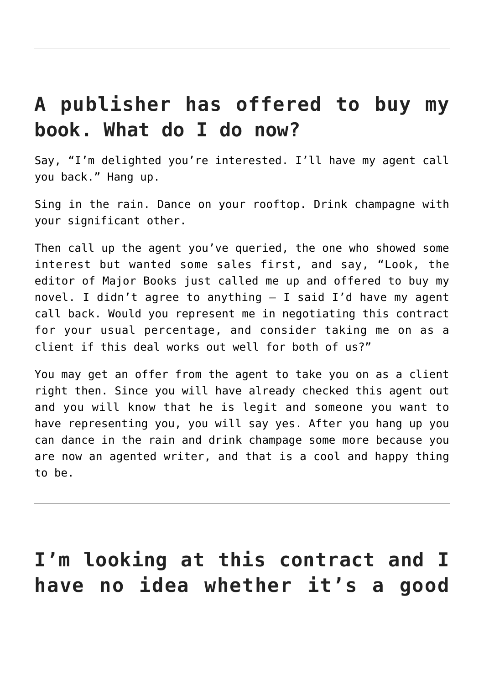### <span id="page-4-0"></span>**A publisher has offered to buy my book. What do I do now?**

Say, "I'm delighted you're interested. I'll have my agent call you back." Hang up.

Sing in the rain. Dance on your rooftop. Drink champagne with your significant other.

Then call up the agent you've queried, the one who showed some interest but wanted some sales first, and say, "Look, the editor of Major Books just called me up and offered to buy my novel. I didn't agree to anything  $-$  I said I'd have my agent call back. Would you represent me in negotiating this contract for your usual percentage, and consider taking me on as a client if this deal works out well for both of us?"

You may get an offer from the agent to take you on as a client right then. Since you will have already checked this agent out and you will know that he is legit and someone you want to have representing you, you will say yes. After you hang up you can dance in the rain and drink champage some more because you are now an agented writer, and that is a cool and happy thing to be.

# <span id="page-4-1"></span>**I'm looking at this contract and I have no idea whether it's a good**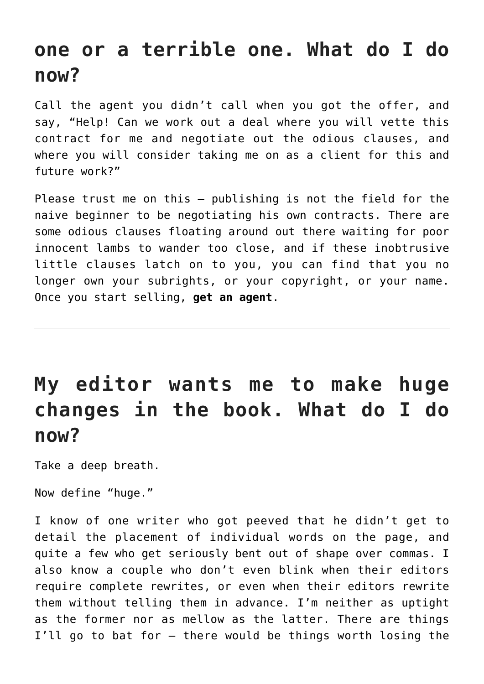### **one or a terrible one. What do I do now?**

Call the agent you didn't call when you got the offer, and say, "Help! Can we work out a deal where you will vette this contract for me and negotiate out the odious clauses, and where you will consider taking me on as a client for this and future work?"

Please trust me on this — publishing is not the field for the naive beginner to be negotiating his own contracts. There are some odious clauses floating around out there waiting for poor innocent lambs to wander too close, and if these inobtrusive little clauses latch on to you, you can find that you no longer own your subrights, or your copyright, or your name. Once you start selling, **get an agent**.

# <span id="page-5-0"></span>**My editor wants me to make huge changes in the book. What do I do now?**

Take a deep breath.

Now define "huge."

I know of one writer who got peeved that he didn't get to detail the placement of individual words on the page, and quite a few who get seriously bent out of shape over commas. I also know a couple who don't even blink when their editors require complete rewrites, or even when their editors rewrite them without telling them in advance. I'm neither as uptight as the former nor as mellow as the latter. There are things I'll go to bat for — there would be things worth losing the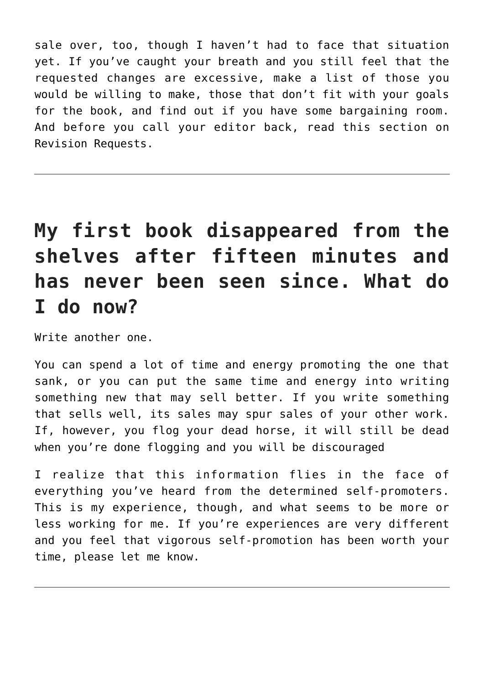sale over, too, though I haven't had to face that situation yet. If you've caught your breath and you still feel that the requested changes are excessive, make a list of those you would be willing to make, those that don't fit with your goals for the book, and find out if you have some bargaining room. And before you call your editor back, [read this section on](https://hollylisle.com/articles/revision-requests) [Revision Requests.](https://hollylisle.com/articles/revision-requests)

# <span id="page-6-0"></span>**My first book disappeared from the shelves after fifteen minutes and has never been seen since. What do I do now?**

Write another one.

You can spend a lot of time and energy promoting the one that sank, or you can put the same time and energy into writing something new that may sell better. If you write something that sells well, its sales may spur sales of your other work. If, however, you flog your dead horse, it will still be dead when you're done flogging and you will be discouraged

<span id="page-6-1"></span>I realize that this information flies in the face of everything you've heard from the determined self-promoters. This is my experience, though, and what seems to be more or less working for me. If you're experiences are very different and you feel that vigorous self-promotion has been worth your time, please let me know.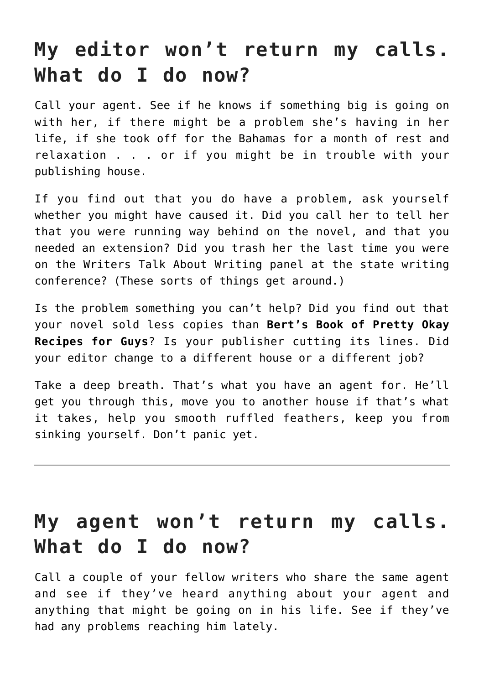# **My editor won't return my calls. What do I do now?**

Call your agent. See if he knows if something big is going on with her, if there might be a problem she's having in her life, if she took off for the Bahamas for a month of rest and relaxation . . . or if you might be in trouble with your publishing house.

If you find out that you do have a problem, ask yourself whether you might have caused it. Did you call her to tell her that you were running way behind on the novel, and that you needed an extension? Did you trash her the last time you were on the Writers Talk About Writing panel at the state writing conference? (These sorts of things get around.)

Is the problem something you can't help? Did you find out that your novel sold less copies than **Bert's Book of Pretty Okay Recipes for Guys**? Is your publisher cutting its lines. Did your editor change to a different house or a different job?

Take a deep breath. That's what you have an agent for. He'll get you through this, move you to another house if that's what it takes, help you smooth ruffled feathers, keep you from sinking yourself. Don't panic yet.

### <span id="page-7-0"></span>**My agent won't return my calls. What do I do now?**

Call a couple of your fellow writers who share the same agent and see if they've heard anything about your agent and anything that might be going on in his life. See if they've had any problems reaching him lately.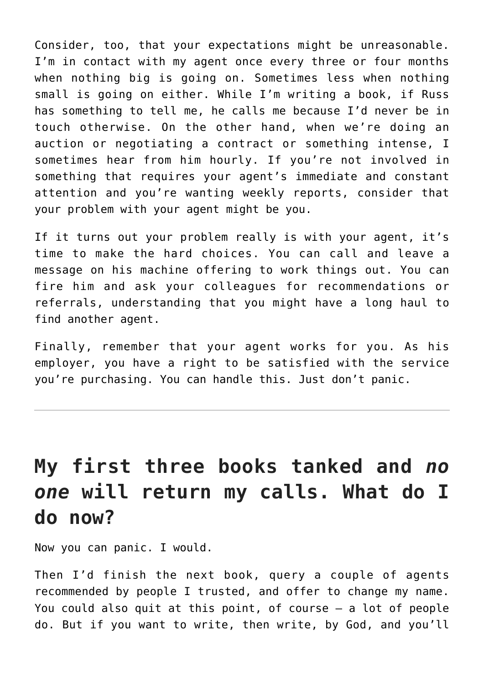Consider, too, that your expectations might be unreasonable. I'm in contact with my agent once every three or four months when nothing big is going on. Sometimes less when nothing small is going on either. While I'm writing a book, if Russ has something to tell me, he calls me because I'd never be in touch otherwise. On the other hand, when we're doing an auction or negotiating a contract or something intense, I sometimes hear from him hourly. If you're not involved in something that requires your agent's immediate and constant attention and you're wanting weekly reports, consider that your problem with your agent might be you.

If it turns out your problem really is with your agent, it's time to make the hard choices. You can call and leave a message on his machine offering to work things out. You can fire him and ask your colleagues for recommendations or referrals, understanding that you might have a long haul to find another agent.

Finally, remember that your agent works for you. As his employer, you have a right to be satisfied with the service you're purchasing. You can handle this. Just don't panic.

# <span id="page-8-0"></span>**My first three books tanked and** *no one* **will return my calls. What do I do now?**

Now you can panic. I would.

Then I'd finish the next book, query a couple of agents recommended by people I trusted, and offer to change my name. You could also quit at this point, of course — a lot of people do. But if you want to write, then write, by God, and you'll